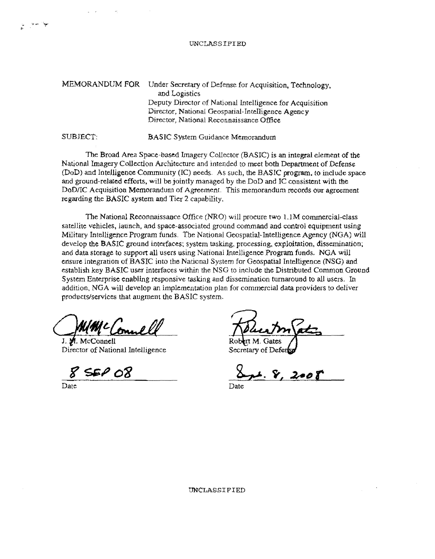## UNCLASSIFIED

| <b>MEMORANDUM FOR</b> | Under Secretary of Defense for Acquisition, Technology,<br>and Logistics                                                                                  |
|-----------------------|-----------------------------------------------------------------------------------------------------------------------------------------------------------|
|                       | Deputy Director of National Intelligence for Acquisition<br>Director, National Geospatial-Intelligence Agency<br>Director, National Reconnaissance Office |
| SUBJECT:              | <b>BASIC System Guidance Memorandum</b>                                                                                                                   |

The Broad Area Space-based Imagery Collector (BASIC) is an integral element of the National Imagery Collection Architecture and intended to meet both Department of Defense (DoD) and InteHigenqe Community (IC) needs. As such, the BASIC program, to include space and ground-related efforts, will be jointly managed by the DoD and IC consistent with the DoD/IC Acquisition Memorandum of Agreement. This memorandum records our agreement regarding the BASIC system and Tier 2 capability.

The National Reconnaissance Office (NRO) will procure two 1.1M commercial-class satellite vehicles, launch, and space-associated ground command and control equipment using Military Intelligence Program funds. The National Geospatial-Intelligence Agency (NGA) will develop the BASIC ground interfaces; system tasking, processing, exploitation, dissemination; and data storage to support all users using National Intelligence Program funds. NGA will ensure integration of BASIC into the National System for Geospatial Intelligence (NSG) and establish key BASIC user interfaces within the NSG to include the Distributed Common. Ground System Enterprise enabling responsive tasking and dissemination turnaround to all users. In addition, NGA will develop an implementation plan for commercial data providers to deliver products/services that augment the BASIC system.

Wime Connell

Director of National Intelligence

**SEP 08** 

rt M. Gates

Secretary of Defer

 $8.2$ 

Date Date Date